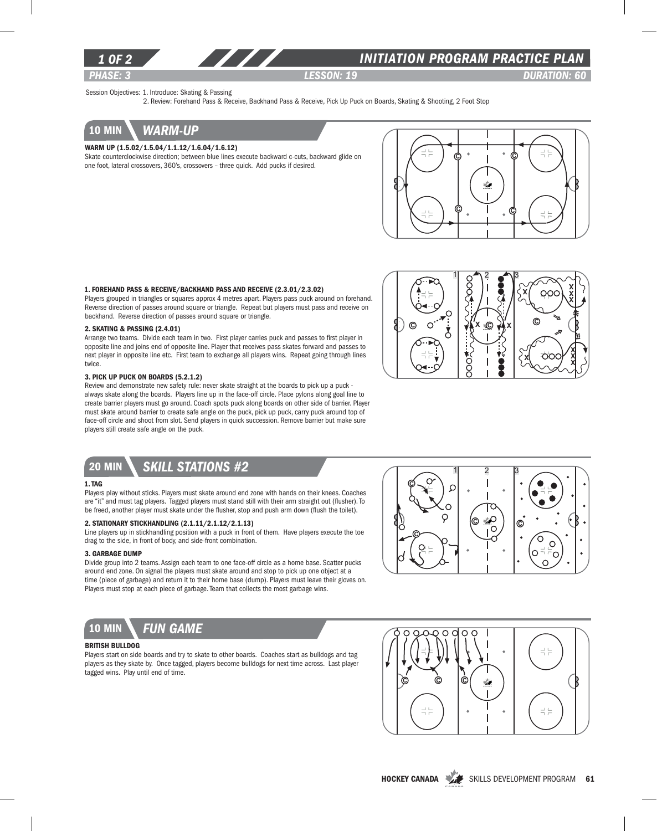

# *INITIATION program PRACTICE PLAN*

*PHASE: 3 lesson: 19 DURATION: 60* 

Session Objectives: 1. Introduce: Skating & Passing

2. Review: Forehand Pass & Receive, Backhand Pass & Receive, Pick Up Puck on Boards, Skating & Shooting, 2 Foot Stop

# 10 min *warm-up*

### Warm Up (1.5.02/1.5.04/1.1.12/1.6.04/1.6.12)

Skate counterclockwise direction; between blue lines execute backward c-cuts, backward glide on one foot, lateral crossovers, 360's, crossovers – three quick. Add pucks if desired.



### 1. Forehand Pass & Receive/Backhand Pass and Receive (2.3.01/2.3.02)

Players grouped in triangles or squares approx 4 metres apart. Players pass puck around on forehand. Reverse direction of passes around square or triangle. Repeat but players must pass and receive on backhand. Reverse direction of passes around square or triangle.

#### 2. Skating & Passing (2.4.01)

Arrange two teams. Divide each team in two. First player carries puck and passes to first player in opposite line and joins end of opposite line. Player that receives pass skates forward and passes to next player in opposite line etc. First team to exchange all players wins. Repeat going through lines twice.

### 3. Pick Up Puck On Boards (5.2.1.2)

Review and demonstrate new safety rule: never skate straight at the boards to pick up a puck always skate along the boards. Players line up in the face-off circle. Place pylons along goal line to create barrier players must go around. Coach spots puck along boards on other side of barrier. Player must skate around barrier to create safe angle on the puck, pick up puck, carry puck around top of face-off circle and shoot from slot. Send players in quick succession. Remove barrier but make sure players still create safe angle on the puck.



# 20 min *Skill stations #2*

#### 1. Tag

Players play without sticks. Players must skate around end zone with hands on their knees. Coaches are "it" and must tag players. Tagged players must stand still with their arm straight out (flusher). To be freed, another player must skate under the flusher, stop and push arm down (flush the toilet).

#### 2. Stationary Stickhandling (2.1.11/2.1.12/2.1.13)

Line players up in stickhandling position with a puck in front of them. Have players execute the toe drag to the side, in front of body, and side-front combination.

### 3. Garbage Dump

Divide group into 2 teams. Assign each team to one face-off circle as a home base. Scatter pucks around end zone. On signal the players must skate around and stop to pick up one object at a time (piece of garbage) and return it to their home base (dump). Players must leave their gloves on. Players must stop at each piece of garbage. Team that collects the most garbage wins.



### British Bulldog

Players start on side boards and try to skate to other boards. Coaches start as bulldogs and tag players as they skate by. Once tagged, players become bulldogs for next time across. Last player tagged wins. Play until end of time.





HOCKEY CANADA SKILLS DEVELOPMENT PROGRAM 61